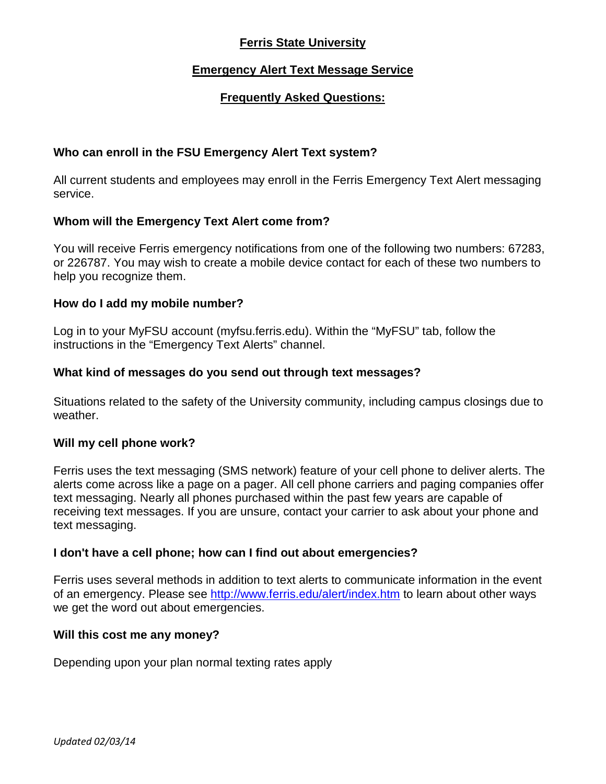# **Ferris State University**

# **Emergency Alert Text Message Service**

# **Frequently Asked Questions:**

## **Who can enroll in the FSU Emergency Alert Text system?**

All current students and employees may enroll in the Ferris Emergency Text Alert messaging service.

### **Whom will the Emergency Text Alert come from?**

You will receive Ferris emergency notifications from one of the following two numbers: 67283, or 226787. You may wish to create a mobile device contact for each of these two numbers to help you recognize them.

#### **How do I add my mobile number?**

Log in to your MyFSU account (myfsu.ferris.edu). Within the "MyFSU" tab, follow the instructions in the "Emergency Text Alerts" channel.

### **What kind of messages do you send out through text messages?**

Situations related to the safety of the University community, including campus closings due to weather.

#### **Will my cell phone work?**

Ferris uses the text messaging (SMS network) feature of your cell phone to deliver alerts. The alerts come across like a page on a pager. All cell phone carriers and paging companies offer text messaging. Nearly all phones purchased within the past few years are capable of receiving text messages. If you are unsure, contact your carrier to ask about your phone and text messaging.

## **I don't have a cell phone; how can I find out about emergencies?**

Ferris uses several methods in addition to text alerts to communicate information in the event of an emergency. Please see<http://www.ferris.edu/alert/index.htm> to learn about other ways we get the word out about emergencies.

#### **Will this cost me any money?**

Depending upon your plan normal texting rates apply